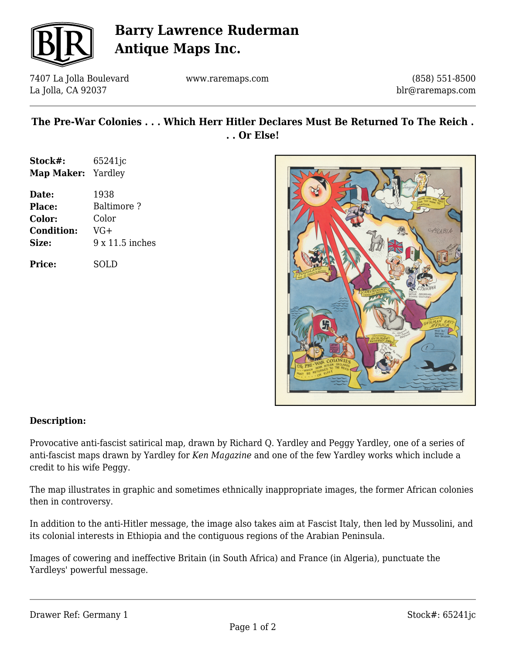

# **Barry Lawrence Ruderman Antique Maps Inc.**

7407 La Jolla Boulevard La Jolla, CA 92037

www.raremaps.com

(858) 551-8500 blr@raremaps.com

## **The Pre-War Colonies . . . Which Herr Hitler Declares Must Be Returned To The Reich . . . Or Else!**

| Stock#:                   | 65241 <sub>jc</sub> |
|---------------------------|---------------------|
| <b>Map Maker:</b> Yardley |                     |
| Date:                     | 1938                |
| Place:                    | <b>Baltimore?</b>   |
|                           |                     |

| --------          |                 |
|-------------------|-----------------|
| <b>Color:</b>     | Color           |
| <b>Condition:</b> | $VG+$           |
| Size:             | 9 x 11.5 inches |
|                   |                 |

**Price:** SOLD



### **Description:**

Provocative anti-fascist satirical map, drawn by Richard Q. Yardley and Peggy Yardley, one of a series of anti-fascist maps drawn by Yardley for *Ken Magazine* and one of the few Yardley works which include a credit to his wife Peggy.

The map illustrates in graphic and sometimes ethnically inappropriate images, the former African colonies then in controversy.

In addition to the anti-Hitler message, the image also takes aim at Fascist Italy, then led by Mussolini, and its colonial interests in Ethiopia and the contiguous regions of the Arabian Peninsula.

Images of cowering and ineffective Britain (in South Africa) and France (in Algeria), punctuate the Yardleys' powerful message.